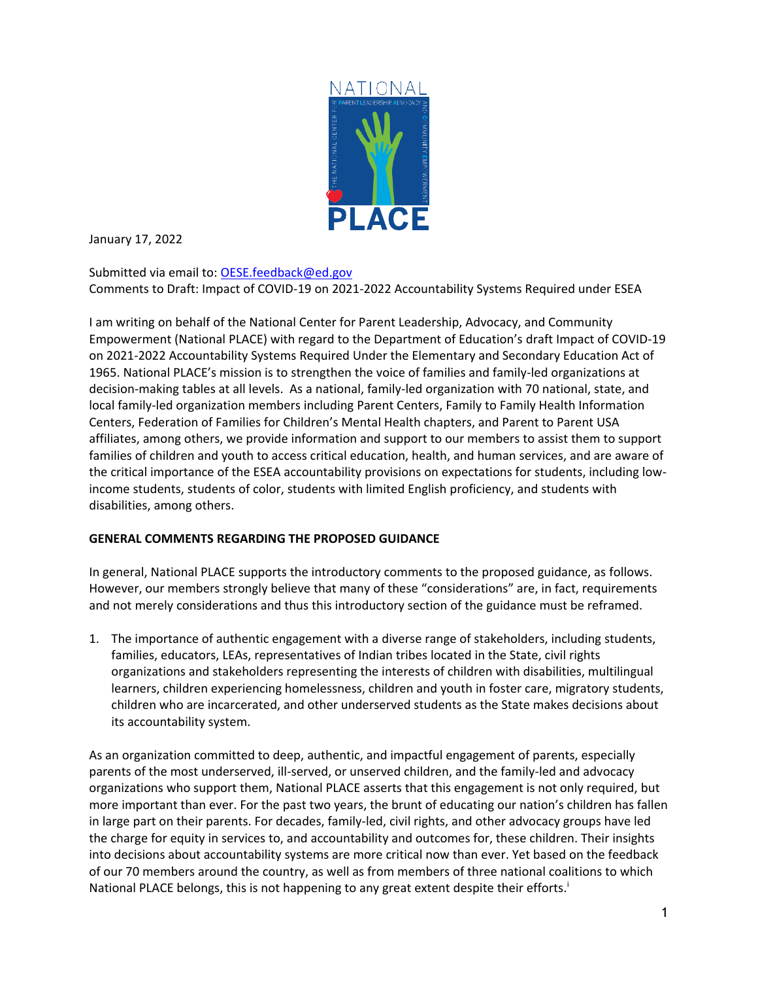

January 17, 2022

Submitted via email to: [OESE.feedback@ed.gov](mailto:OESE.feedback@ed.gov) Comments to Draft: Impact of COVID-19 on 2021-2022 Accountability Systems Required under ESEA

I am writing on behalf of the National Center for Parent Leadership, Advocacy, and Community Empowerment (National PLACE) with regard to the Department of Education's draft Impact of COVID-19 on 2021-2022 Accountability Systems Required Under the Elementary and Secondary Education Act of 1965. National PLACE's mission is to strengthen the voice of families and family-led organizations at decision-making tables at all levels. As a national, family-led organization with 70 national, state, and local family-led organization members including Parent Centers, Family to Family Health Information Centers, Federation of Families for Children's Mental Health chapters, and Parent to Parent USA affiliates, among others, we provide information and support to our members to assist them to support families of children and youth to access critical education, health, and human services, and are aware of the critical importance of the ESEA accountability provisions on expectations for students, including lowincome students, students of color, students with limited English proficiency, and students with disabilities, among others.

#### **GENERAL COMMENTS REGARDING THE PROPOSED GUIDANCE**

In general, National PLACE supports the introductory comments to the proposed guidance, as follows. However, our members strongly believe that many of these "considerations" are, in fact, requirements and not merely considerations and thus this introductory section of the guidance must be reframed.

1. The importance of authentic engagement with a diverse range of stakeholders, including students, families, educators, LEAs, representatives of Indian tribes located in the State, civil rights organizations and stakeholders representing the interests of children with disabilities, multilingual learners, children experiencing homelessness, children and youth in foster care, migratory students, children who are incarcerated, and other underserved students as the State makes decisions about its accountability system.

As an organization committed to deep, authentic, and impactful engagement of parents, especially parents of the most underserved, ill-served, or unserved children, and the family-led and advocacy organizations who support them, National PLACE asserts that this engagement is not only required, but more important than ever. For the past two years, the brunt of educating our nation's children has fallen in large part on their parents. For decades, family-led, civil rights, and other advocacy groups have led the charge for equity in services to, and accountability and outcomes for, these children. Their insights into decisions about accountability systems are more critical now than ever. Yet based on the feedback of our 70 members around the country, as well as from members of three national coalitions to which National PLACE belongs, this is not happening to any great extent despite their efforts.<sup>i</sup>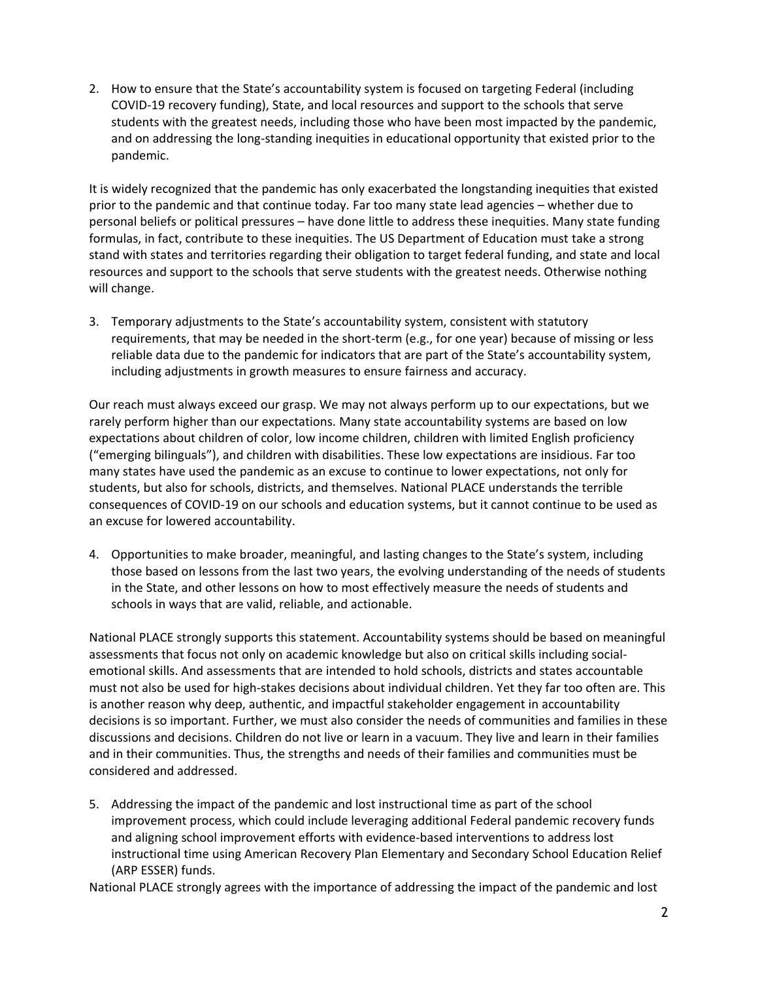2. How to ensure that the State's accountability system is focused on targeting Federal (including COVID-19 recovery funding), State, and local resources and support to the schools that serve students with the greatest needs, including those who have been most impacted by the pandemic, and on addressing the long-standing inequities in educational opportunity that existed prior to the pandemic.

It is widely recognized that the pandemic has only exacerbated the longstanding inequities that existed prior to the pandemic and that continue today. Far too many state lead agencies – whether due to personal beliefs or political pressures – have done little to address these inequities. Many state funding formulas, in fact, contribute to these inequities. The US Department of Education must take a strong stand with states and territories regarding their obligation to target federal funding, and state and local resources and support to the schools that serve students with the greatest needs. Otherwise nothing will change.

3. Temporary adjustments to the State's accountability system, consistent with statutory requirements, that may be needed in the short-term (e.g., for one year) because of missing or less reliable data due to the pandemic for indicators that are part of the State's accountability system, including adjustments in growth measures to ensure fairness and accuracy.

Our reach must always exceed our grasp. We may not always perform up to our expectations, but we rarely perform higher than our expectations. Many state accountability systems are based on low expectations about children of color, low income children, children with limited English proficiency ("emerging bilinguals"), and children with disabilities. These low expectations are insidious. Far too many states have used the pandemic as an excuse to continue to lower expectations, not only for students, but also for schools, districts, and themselves. National PLACE understands the terrible consequences of COVID-19 on our schools and education systems, but it cannot continue to be used as an excuse for lowered accountability.

4. Opportunities to make broader, meaningful, and lasting changes to the State's system, including those based on lessons from the last two years, the evolving understanding of the needs of students in the State, and other lessons on how to most effectively measure the needs of students and schools in ways that are valid, reliable, and actionable.

National PLACE strongly supports this statement. Accountability systems should be based on meaningful assessments that focus not only on academic knowledge but also on critical skills including socialemotional skills. And assessments that are intended to hold schools, districts and states accountable must not also be used for high-stakes decisions about individual children. Yet they far too often are. This is another reason why deep, authentic, and impactful stakeholder engagement in accountability decisions is so important. Further, we must also consider the needs of communities and families in these discussions and decisions. Children do not live or learn in a vacuum. They live and learn in their families and in their communities. Thus, the strengths and needs of their families and communities must be considered and addressed.

5. Addressing the impact of the pandemic and lost instructional time as part of the school improvement process, which could include leveraging additional Federal pandemic recovery funds and aligning school improvement efforts with evidence-based interventions to address lost instructional time using American Recovery Plan Elementary and Secondary School Education Relief (ARP ESSER) funds.

National PLACE strongly agrees with the importance of addressing the impact of the pandemic and lost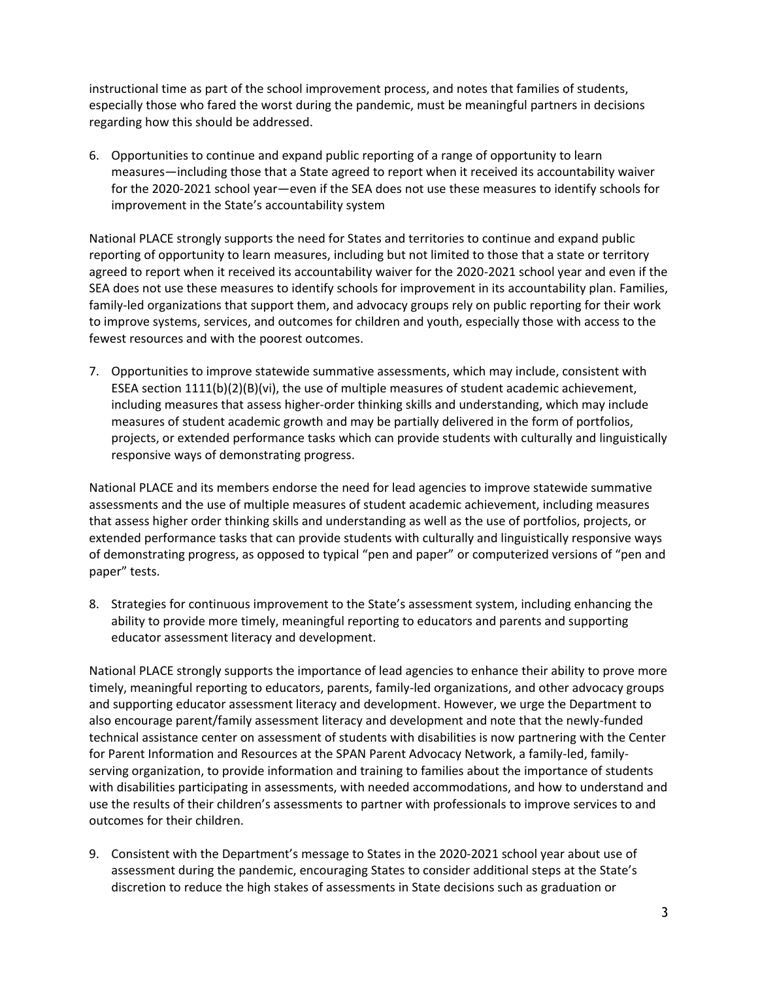instructional time as part of the school improvement process, and notes that families of students, especially those who fared the worst during the pandemic, must be meaningful partners in decisions regarding how this should be addressed.

6. Opportunities to continue and expand public reporting of a range of opportunity to learn measures—including those that a State agreed to report when it received its accountability waiver for the 2020-2021 school year—even if the SEA does not use these measures to identify schools for improvement in the State's accountability system

National PLACE strongly supports the need for States and territories to continue and expand public reporting of opportunity to learn measures, including but not limited to those that a state or territory agreed to report when it received its accountability waiver for the 2020-2021 school year and even if the SEA does not use these measures to identify schools for improvement in its accountability plan. Families, family-led organizations that support them, and advocacy groups rely on public reporting for their work to improve systems, services, and outcomes for children and youth, especially those with access to the fewest resources and with the poorest outcomes.

7. Opportunities to improve statewide summative assessments, which may include, consistent with ESEA section 1111(b)(2)(B)(vi), the use of multiple measures of student academic achievement, including measures that assess higher-order thinking skills and understanding, which may include measures of student academic growth and may be partially delivered in the form of portfolios, projects, or extended performance tasks which can provide students with culturally and linguistically responsive ways of demonstrating progress.

National PLACE and its members endorse the need for lead agencies to improve statewide summative assessments and the use of multiple measures of student academic achievement, including measures that assess higher order thinking skills and understanding as well as the use of portfolios, projects, or extended performance tasks that can provide students with culturally and linguistically responsive ways of demonstrating progress, as opposed to typical "pen and paper" or computerized versions of "pen and paper" tests.

8. Strategies for continuous improvement to the State's assessment system, including enhancing the ability to provide more timely, meaningful reporting to educators and parents and supporting educator assessment literacy and development.

National PLACE strongly supports the importance of lead agencies to enhance their ability to prove more timely, meaningful reporting to educators, parents, family-led organizations, and other advocacy groups and supporting educator assessment literacy and development. However, we urge the Department to also encourage parent/family assessment literacy and development and note that the newly-funded technical assistance center on assessment of students with disabilities is now partnering with the Center for Parent Information and Resources at the SPAN Parent Advocacy Network, a family-led, familyserving organization, to provide information and training to families about the importance of students with disabilities participating in assessments, with needed accommodations, and how to understand and use the results of their children's assessments to partner with professionals to improve services to and outcomes for their children.

9. Consistent with the Department's message to States in the 2020-2021 school year about use of assessment during the pandemic, encouraging States to consider additional steps at the State's discretion to reduce the high stakes of assessments in State decisions such as graduation or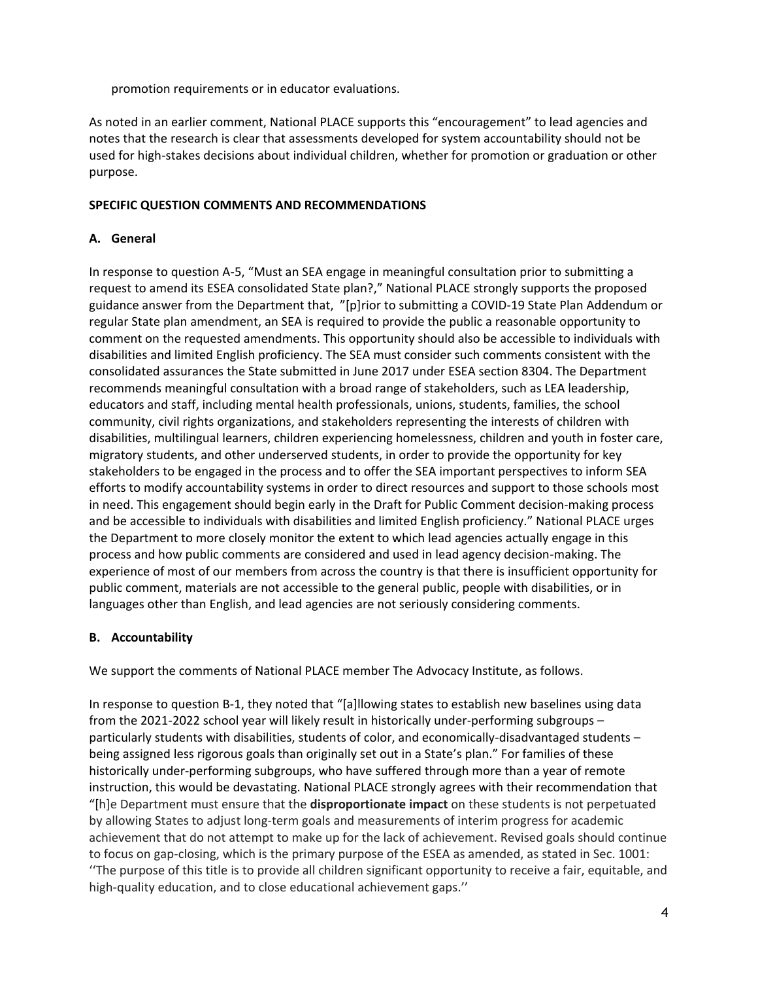promotion requirements or in educator evaluations.

As noted in an earlier comment, National PLACE supports this "encouragement" to lead agencies and notes that the research is clear that assessments developed for system accountability should not be used for high-stakes decisions about individual children, whether for promotion or graduation or other purpose.

### **SPECIFIC QUESTION COMMENTS AND RECOMMENDATIONS**

# **A. General**

In response to question A-5, "Must an SEA engage in meaningful consultation prior to submitting a request to amend its ESEA consolidated State plan?," National PLACE strongly supports the proposed guidance answer from the Department that, "[p]rior to submitting a COVID-19 State Plan Addendum or regular State plan amendment, an SEA is required to provide the public a reasonable opportunity to comment on the requested amendments. This opportunity should also be accessible to individuals with disabilities and limited English proficiency. The SEA must consider such comments consistent with the consolidated assurances the State submitted in June 2017 under ESEA section 8304. The Department recommends meaningful consultation with a broad range of stakeholders, such as LEA leadership, educators and staff, including mental health professionals, unions, students, families, the school community, civil rights organizations, and stakeholders representing the interests of children with disabilities, multilingual learners, children experiencing homelessness, children and youth in foster care, migratory students, and other underserved students, in order to provide the opportunity for key stakeholders to be engaged in the process and to offer the SEA important perspectives to inform SEA efforts to modify accountability systems in order to direct resources and support to those schools most in need. This engagement should begin early in the Draft for Public Comment decision-making process and be accessible to individuals with disabilities and limited English proficiency." National PLACE urges the Department to more closely monitor the extent to which lead agencies actually engage in this process and how public comments are considered and used in lead agency decision-making. The experience of most of our members from across the country is that there is insufficient opportunity for public comment, materials are not accessible to the general public, people with disabilities, or in languages other than English, and lead agencies are not seriously considering comments.

## **B. Accountability**

We support the comments of National PLACE member The Advocacy Institute, as follows.

In response to question B-1, they noted that "[a]llowing states to establish new baselines using data from the 2021-2022 school year will likely result in historically under-performing subgroups – particularly students with disabilities, students of color, and economically-disadvantaged students – being assigned less rigorous goals than originally set out in a State's plan." For families of these historically under-performing subgroups, who have suffered through more than a year of remote instruction, this would be devastating. National PLACE strongly agrees with their recommendation that "[h]e Department must ensure that the **disproportionate impact** on these students is not perpetuated by allowing States to adjust long-term goals and measurements of interim progress for academic achievement that do not attempt to make up for the lack of achievement. Revised goals should continue to focus on gap-closing, which is the primary purpose of the ESEA as amended, as stated in Sec. 1001: ''The purpose of this title is to provide all children significant opportunity to receive a fair, equitable, and high-quality education, and to close educational achievement gaps.''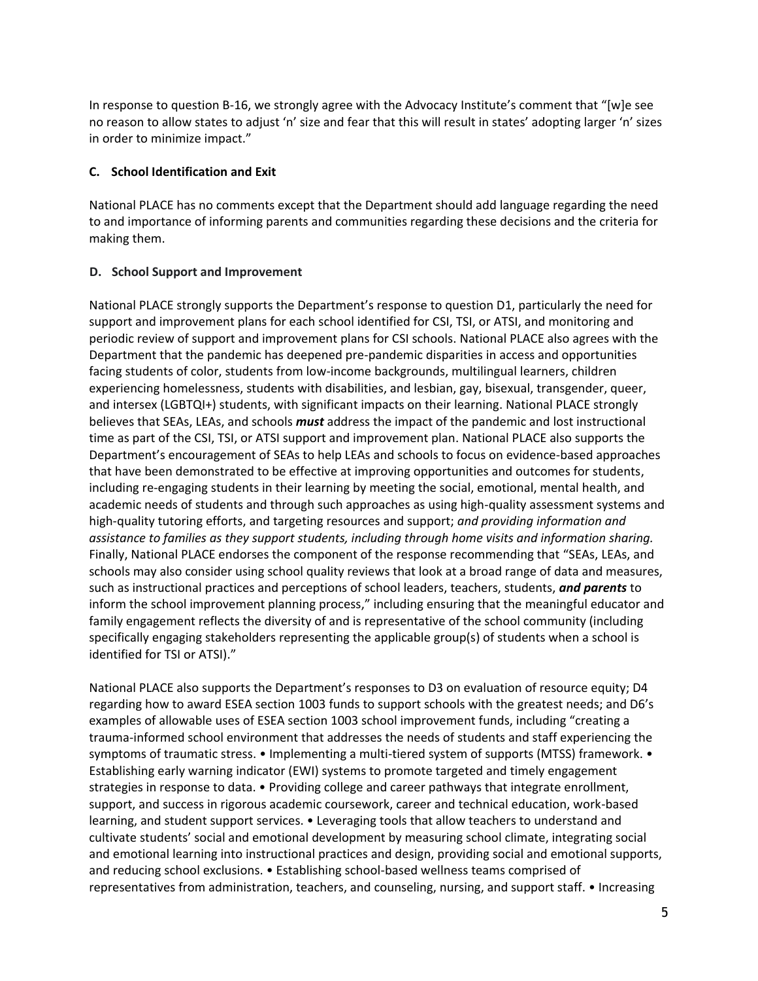In response to question B-16, we strongly agree with the Advocacy Institute's comment that "[w]e see no reason to allow states to adjust 'n' size and fear that this will result in states' adopting larger 'n' sizes in order to minimize impact."

#### **C. School Identification and Exit**

National PLACE has no comments except that the Department should add language regarding the need to and importance of informing parents and communities regarding these decisions and the criteria for making them.

#### **D. School Support and Improvement**

National PLACE strongly supports the Department's response to question D1, particularly the need for support and improvement plans for each school identified for CSI, TSI, or ATSI, and monitoring and periodic review of support and improvement plans for CSI schools. National PLACE also agrees with the Department that the pandemic has deepened pre-pandemic disparities in access and opportunities facing students of color, students from low-income backgrounds, multilingual learners, children experiencing homelessness, students with disabilities, and lesbian, gay, bisexual, transgender, queer, and intersex (LGBTQI+) students, with significant impacts on their learning. National PLACE strongly believes that SEAs, LEAs, and schools *must* address the impact of the pandemic and lost instructional time as part of the CSI, TSI, or ATSI support and improvement plan. National PLACE also supports the Department's encouragement of SEAs to help LEAs and schools to focus on evidence-based approaches that have been demonstrated to be effective at improving opportunities and outcomes for students, including re-engaging students in their learning by meeting the social, emotional, mental health, and academic needs of students and through such approaches as using high-quality assessment systems and high-quality tutoring efforts, and targeting resources and support; *and providing information and assistance to families as they support students, including through home visits and information sharing.*  Finally, National PLACE endorses the component of the response recommending that "SEAs, LEAs, and schools may also consider using school quality reviews that look at a broad range of data and measures, such as instructional practices and perceptions of school leaders, teachers, students, *and parents* to inform the school improvement planning process," including ensuring that the meaningful educator and family engagement reflects the diversity of and is representative of the school community (including specifically engaging stakeholders representing the applicable group(s) of students when a school is identified for TSI or ATSI)."

National PLACE also supports the Department's responses to D3 on evaluation of resource equity; D4 regarding how to award ESEA section 1003 funds to support schools with the greatest needs; and D6's examples of allowable uses of ESEA section 1003 school improvement funds, including "creating a trauma-informed school environment that addresses the needs of students and staff experiencing the symptoms of traumatic stress. • Implementing a multi-tiered system of supports (MTSS) framework. • Establishing early warning indicator (EWI) systems to promote targeted and timely engagement strategies in response to data. • Providing college and career pathways that integrate enrollment, support, and success in rigorous academic coursework, career and technical education, work-based learning, and student support services. • Leveraging tools that allow teachers to understand and cultivate students' social and emotional development by measuring school climate, integrating social and emotional learning into instructional practices and design, providing social and emotional supports, and reducing school exclusions. • Establishing school-based wellness teams comprised of representatives from administration, teachers, and counseling, nursing, and support staff. • Increasing